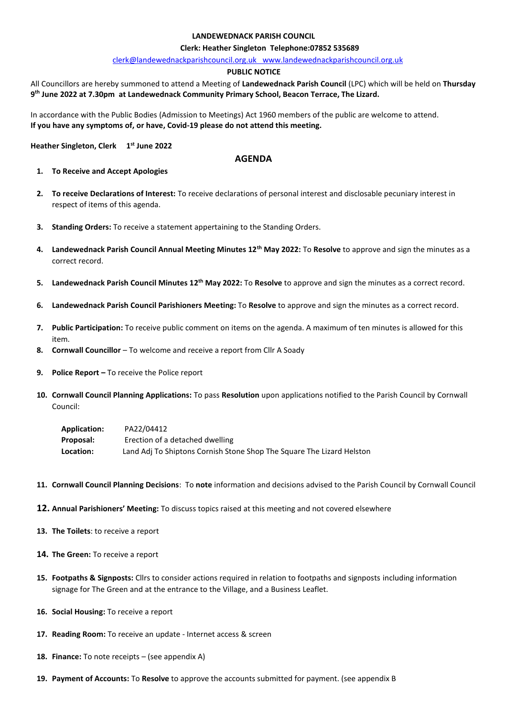### **LANDEWEDNACK PARISH COUNCIL**

#### **Clerk: Heather Singleton Telephone:07852 535689**

[clerk@landewednackparishcouncil.org.uk](mailto:clerk@landewednackparishcouncil.org.uk) [www.landewednackparishcouncil.org.uk](http://www.landewednackparishcouncil.org.uk/) 

#### **PUBLIC NOTICE**

All Councillors are hereby summoned to attend a Meeting of **Landewednack Parish Council** (LPC) which will be held on **Thursday 9 th June 2022 at 7.30pm at Landewednack Community Primary School, Beacon Terrace, The Lizard.** 

In accordance with the Public Bodies (Admission to Meetings) Act 1960 members of the public are welcome to attend. **If you have any symptoms of, or have, Covid-19 please do not attend this meeting.**

**Heather Singleton, Clerk 1 st June 2022** 

## **AGENDA**

- **1. To Receive and Accept Apologies**
- **2. To receive Declarations of Interest:** To receive declarations of personal interest and disclosable pecuniary interest in respect of items of this agenda.
- **3. Standing Orders:** To receive a statement appertaining to the Standing Orders.
- **4. Landewednack Parish Council Annual Meeting Minutes 12th May 2022:** To **Resolve** to approve and sign the minutes as a correct record.
- **5. Landewednack Parish Council Minutes 12 th May 2022:** To **Resolve** to approve and sign the minutes as a correct record.
- **6. Landewednack Parish Council Parishioners Meeting:** To **Resolve** to approve and sign the minutes as a correct record.
- **7. Public Participation:** To receive public comment on items on the agenda. A maximum of ten minutes is allowed for this item.
- **8. Cornwall Councillor** To welcome and receive a report from Cllr A Soady
- **9. Police Report –** To receive the Police report
- **10. Cornwall Council Planning Applications:** To pass **Resolution** upon applications notified to the Parish Council by Cornwall Council:

| <b>Application:</b> | PA22/04412                                                            |
|---------------------|-----------------------------------------------------------------------|
| Proposal:           | Erection of a detached dwelling                                       |
| <b>Location:</b>    | Land Adj To Shiptons Cornish Stone Shop The Square The Lizard Helston |

- **11. Cornwall Council Planning Decisions**: To **note** information and decisions advised to the Parish Council by Cornwall Council
- **12. Annual Parishioners' Meeting:** To discuss topics raised at this meeting and not covered elsewhere
- **13. The Toilets**: to receive a report
- **14. The Green:** To receive a report
- **15. Footpaths & Signposts:** Cllrs to consider actions required in relation to footpaths and signposts including information signage for The Green and at the entrance to the Village, and a Business Leaflet.
- **16. Social Housing:** To receive a report
- **17. Reading Room:** To receive an update Internet access & screen
- **18. Finance:** To note receipts (see appendix A)
- **19. Payment of Accounts:** To **Resolve** to approve the accounts submitted for payment. (see appendix B